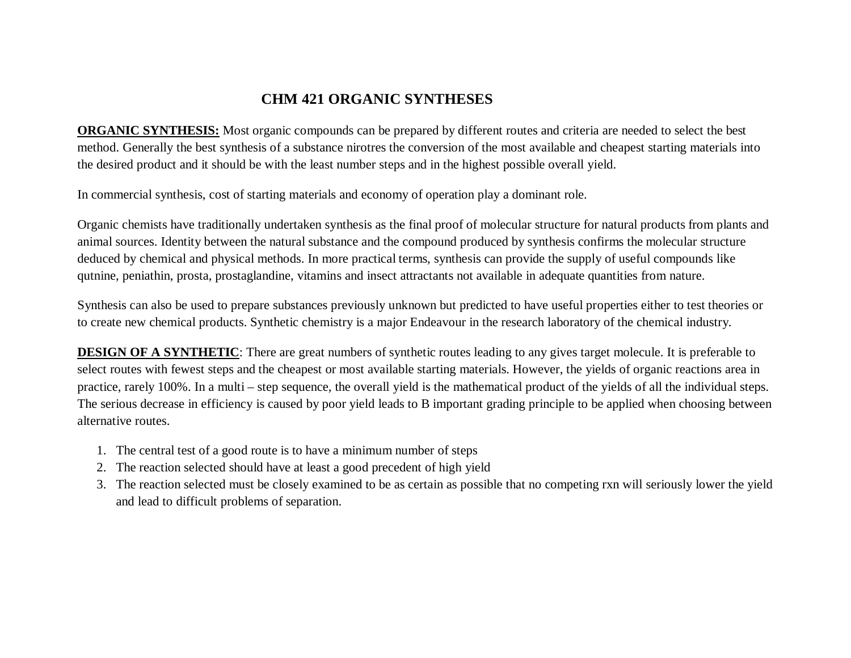# **CHM 421 ORGANIC SYNTHESES**

**ORGANIC SYNTHESIS:** Most organic compounds can be prepared by different routes and criteria are needed to select the best method. Generally the best synthesis of a substance nirotres the conversion of the most available and cheapest starting materials into the desired product and it should be with the least number steps and in the highest possible overall yield.

In commercial synthesis, cost of starting materials and economy of operation play a dominant role.

Organic chemists have traditionally undertaken synthesis as the final proof of molecular structure for natural products from plants and animal sources. Identity between the natural substance and the compound produced by synthesis confirms the molecular structure deduced by chemical and physical methods. In more practical terms, synthesis can provide the supply of useful compounds like qutnine, peniathin, prosta, prostaglandine, vitamins and insect attractants not available in adequate quantities from nature.

Synthesis can also be used to prepare substances previously unknown but predicted to have useful properties either to test theories or to create new chemical products. Synthetic chemistry is a major Endeavour in the research laboratory of the chemical industry.

**DESIGN OF A SYNTHETIC:** There are great numbers of synthetic routes leading to any gives target molecule. It is preferable to select routes with fewest steps and the cheapest or most available starting materials. However, the yields of organic reactions area in practice, rarely 100%. In a multi – step sequence, the overall yield is the mathematical product of the yields of all the individual steps. The serious decrease in efficiency is caused by poor yield leads to B important grading principle to be applied when choosing between alternative routes.

- 1. The central test of a good route is to have a minimum number of steps
- 2. The reaction selected should have at least a good precedent of high yield
- 3. The reaction selected must be closely examined to be as certain as possible that no competing rxn will seriously lower the yield and lead to difficult problems of separation.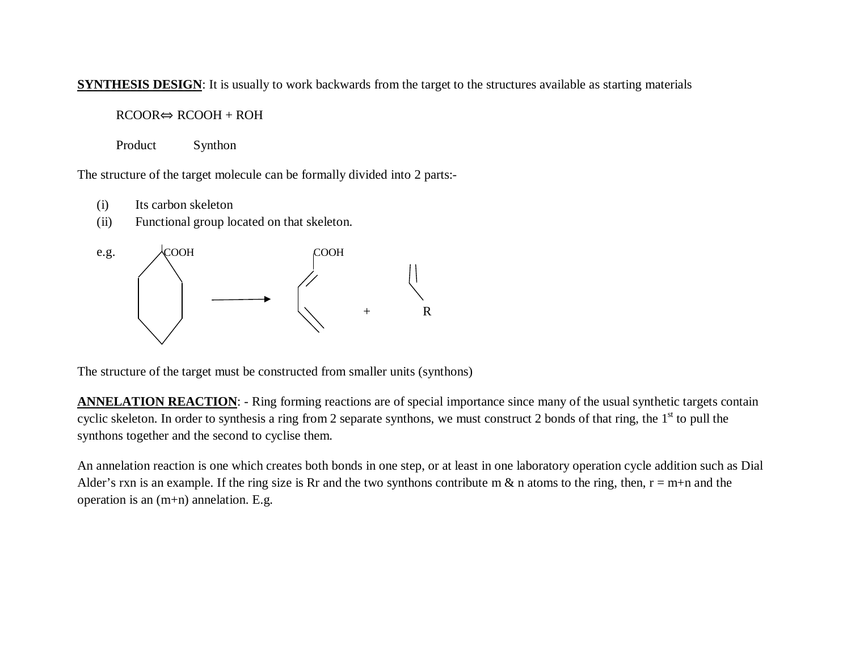## **SYNTHESIS DESIGN:** It is usually to work backwards from the target to the structures available as starting materials

## $RCOOR \Leftrightarrow RCOOH + ROH$

Product Synthon

The structure of the target molecule can be formally divided into 2 parts:-

- (i) Its carbon skeleton
- (ii) Functional group located on that skeleton.



The structure of the target must be constructed from smaller units (synthons)

**ANNELATION REACTION:** - Ring forming reactions are of special importance since many of the usual synthetic targets contain cyclic skeleton. In order to synthesis a ring from 2 separate synthons, we must construct 2 bonds of that ring, the  $1<sup>st</sup>$  to pull the synthons together and the second to cyclise them.

An annelation reaction is one which creates both bonds in one step, or at least in one laboratory operation cycle addition such as Dial Alder's rxn is an example. If the ring size is Rr and the two synthons contribute m  $\&$  n atoms to the ring, then,  $r = m+n$  and the operation is an (m+n) annelation. E.g.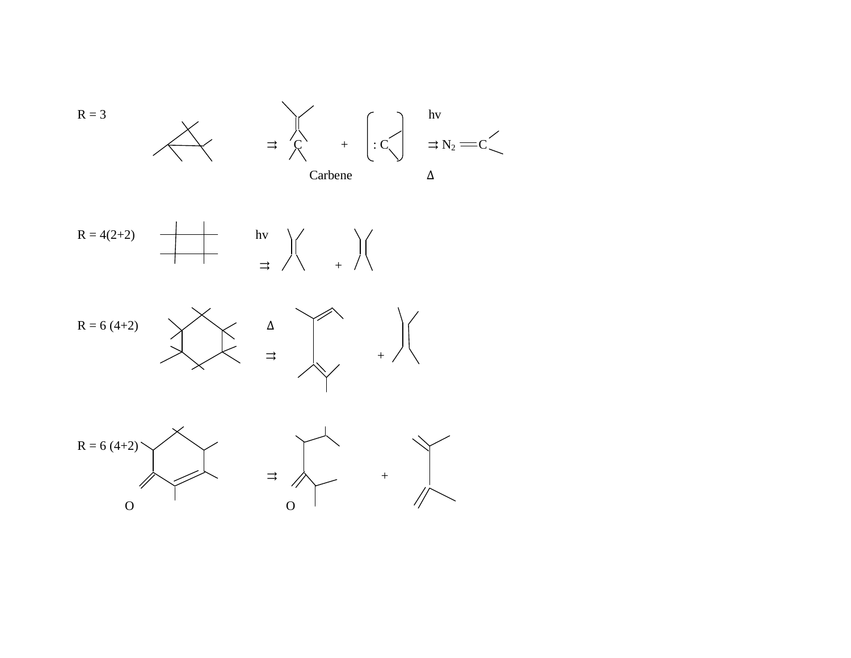





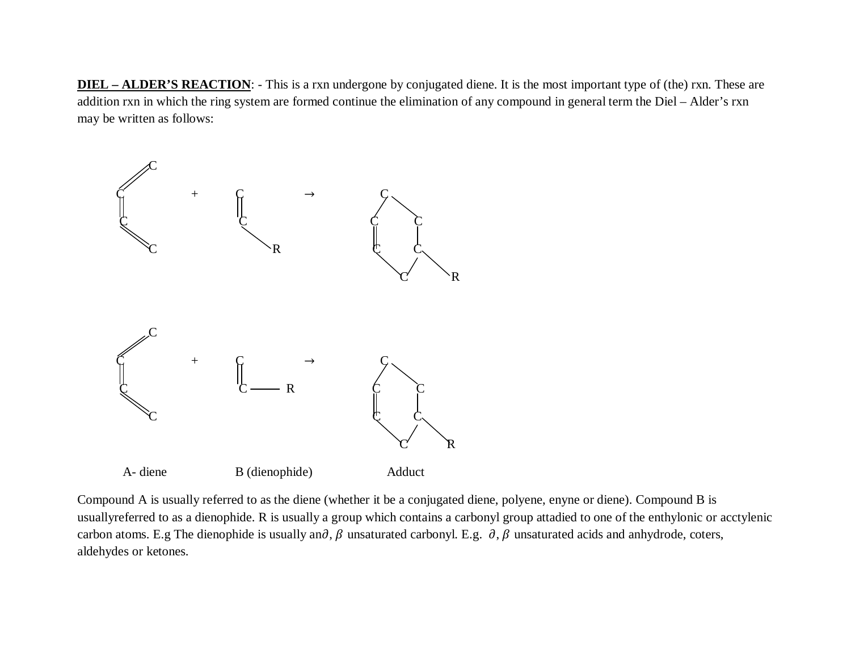**DIEL – ALDER'S REACTION:** - This is a rxn undergone by conjugated diene. It is the most important type of (the) rxn. These are addition rxn in which the ring system are formed continue the elimination of any compound in general term the Diel – Alder's rxn may be written as follows:



Compound A is usually referred to as the diene (whether it be a conjugated diene, polyene, enyne or diene). Compound B is usuallyreferred to as a dienophide. R is usually a group which contains a carbonyl group attadied to one of the enthylonic or acctylenic carbon atoms. E.g The dienophide is usually an $\partial$ ,  $\beta$  unsaturated carbonyl. E.g.  $\partial$ ,  $\beta$  unsaturated acids and anhydrode, coters, aldehydes or ketones.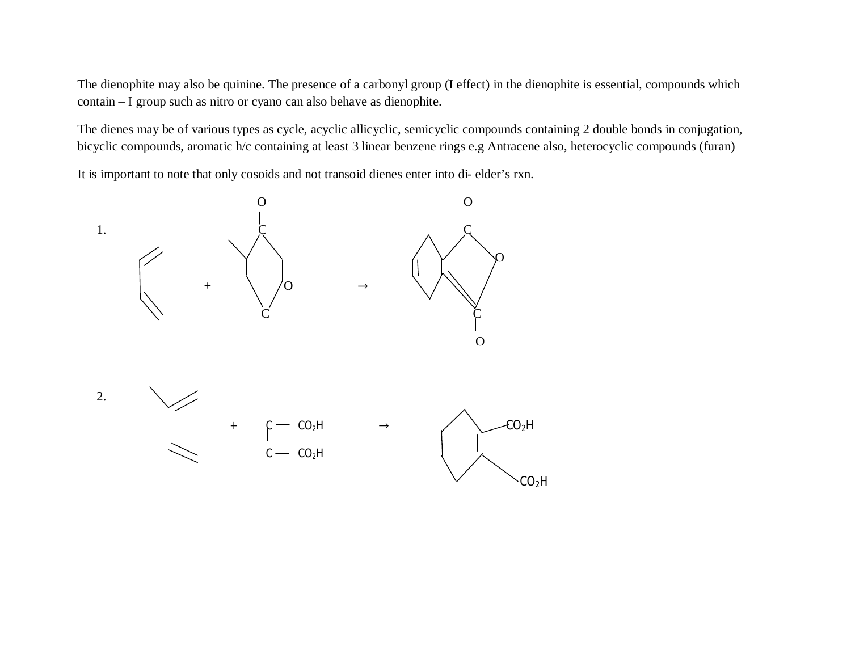The dienophite may also be quinine. The presence of a carbonyl group (I effect) in the dienophite is essential, compounds which contain – I group such as nitro or cyano can also behave as dienophite.

The dienes may be of various types as cycle, acyclic allicyclic, semicyclic compounds containing 2 double bonds in conjugation, bicyclic compounds, aromatic h/c containing at least 3 linear benzene rings e.g Antracene also, heterocyclic compounds (furan)

It is important to note that only cosoids and not transoid dienes enter into di- elder's rxn.

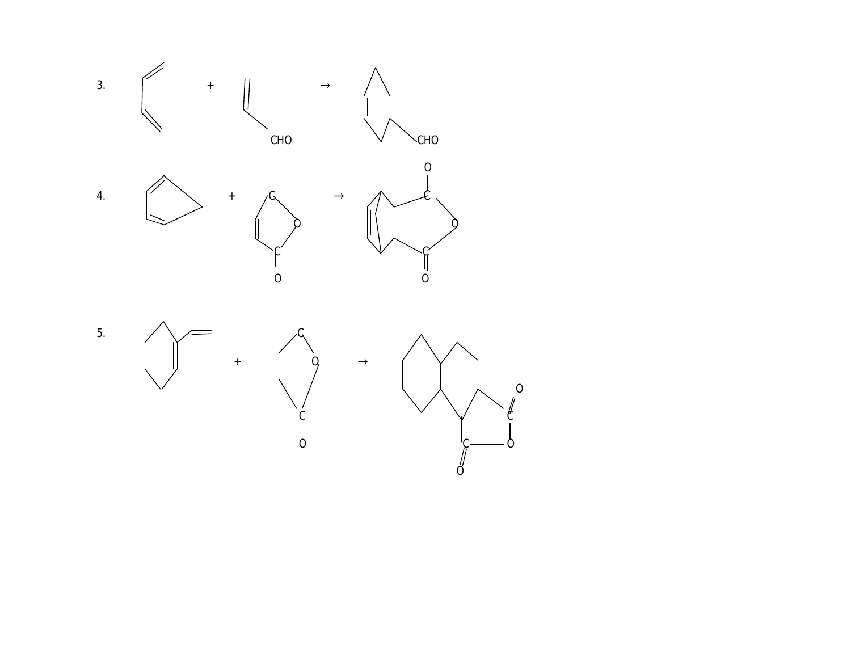







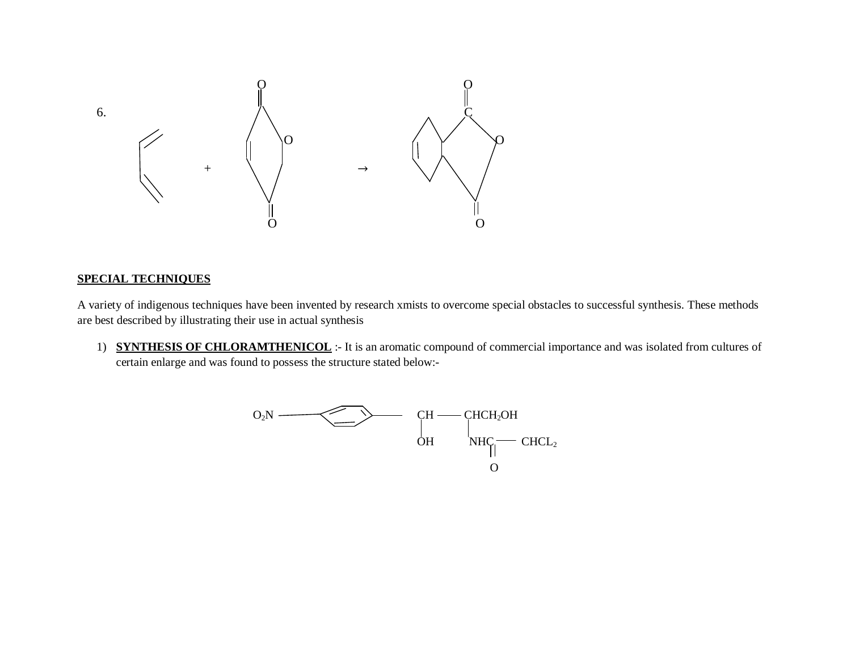

#### **SPECIAL TECHNIQUES**

A variety of indigenous techniques have been invented by research xmists to overcome special obstacles to successful synthesis. These methods are best described by illustrating their use in actual synthesis

1) **SYNTHESIS OF CHLORAMTHENICOL** :- It is an aromatic compound of commercial importance and was isolated from cultures of certain enlarge and was found to possess the structure stated below:-

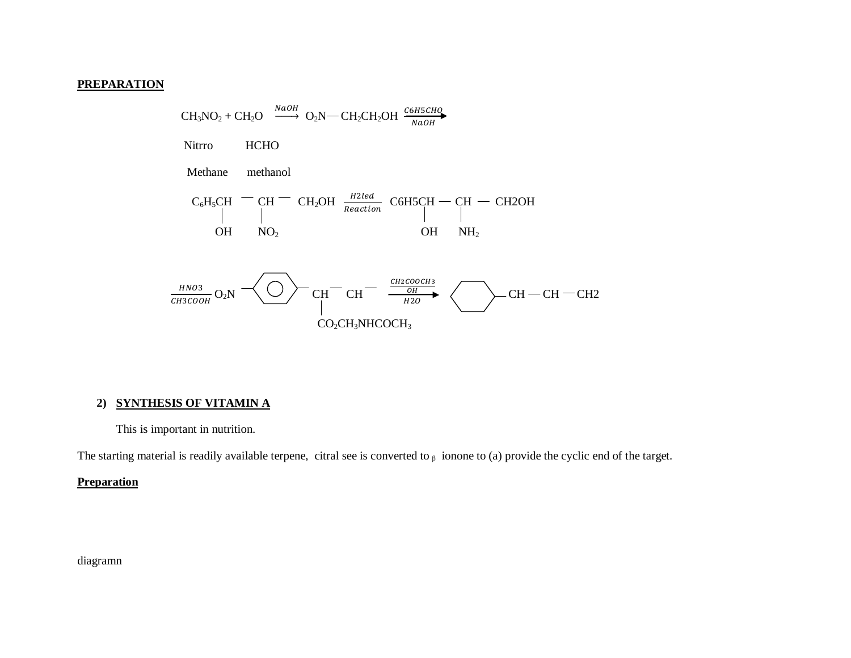### **PREPARATION**

 $\text{CH}_3\text{NO}_2 + \text{CH}_2\text{O} \xrightarrow{\text{NaOH}} \text{O}_2\text{N} - \text{CH}_2\text{CH}_2\text{OH} \xrightarrow{\text{C6H5CHQ}} \text{NaOH}$ **HCHO** Nitrro methanol Methane  $\text{C}_6\text{H}_5\text{CH} \begin{array}{c}\text{--}\!\!\!\!\!\!\text{CH} \text{--}\!\!\!\!\!\text{CH}_2\text{OH} \begin{array}{c}\text{H2led}\\\text{Reaction}\end{array}\text{C6H5CH}\begin{array}{c}\text{--}\!\!\!\!\!\text{CH} \text{--}\!\!\!\!\!\text{CH} \text{--}\!\!\!\!\text{CH2OH}\\\end{array}$  $OH$   $NH<sub>2</sub>$ OH  $NO<sub>2</sub>$  $\frac{HNO3}{CH3COOH}$  O<sub>2</sub>N  $\leftarrow$  C<sub>H</sub>  $\leftarrow$  C<sub>H</sub>  $\leftarrow$  C<sub>H</sub>  $\leftarrow$  C<sub>H</sub>  $\leftarrow$  C<sub>H</sub>  $\leftarrow$  CH  $\leftarrow$  CH  $\leftarrow$  CH  $\leftarrow$  CH  $\leftarrow$  CH  $\leftarrow$  CH  $CO<sub>2</sub>CH<sub>3</sub>NHCOCH<sub>3</sub>$ 

#### 2) SYNTHESIS OF VITAMIN A

This is important in nutrition.

The starting material is readily available terpene, citral see is converted to  $\beta$  ionone to (a) provide the cyclic end of the target.

## **Preparation**

diagramn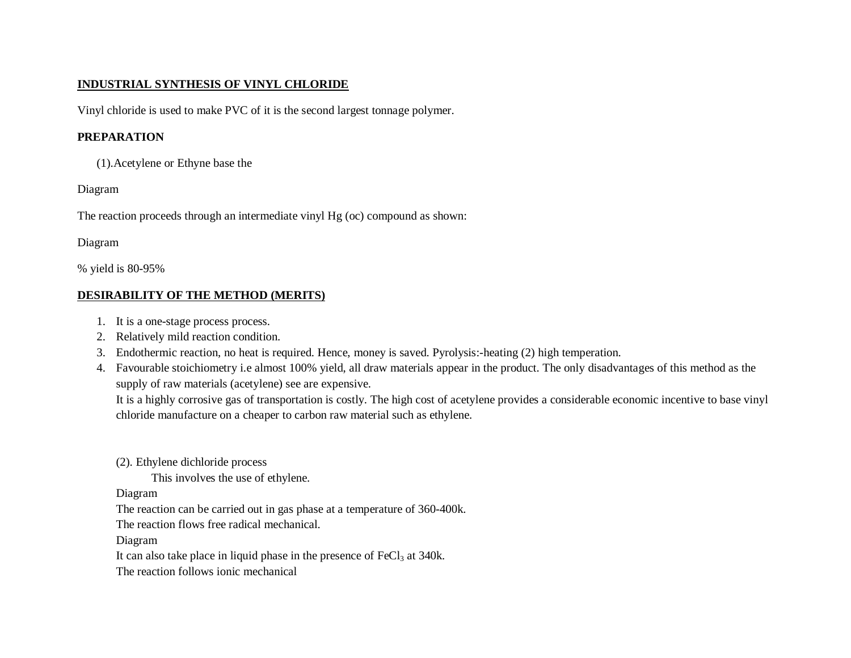## **INDUSTRIAL SYNTHESIS OF VINYL CHLORIDE**

Vinyl chloride is used to make PVC of it is the second largest tonnage polymer.

## **PREPARATION**

(1).Acetylene or Ethyne base the

### Diagram

The reaction proceeds through an intermediate vinyl Hg (oc) compound as shown:

## Diagram

% yield is 80-95%

## **DESIRABILITY OF THE METHOD (MERITS)**

- 1. It is a one-stage process process.
- 2. Relatively mild reaction condition.
- 3. Endothermic reaction, no heat is required. Hence, money is saved. Pyrolysis:-heating (2) high temperation.
- 4. Favourable stoichiometry i.e almost 100% yield, all draw materials appear in the product. The only disadvantages of this method as the supply of raw materials (acetylene) see are expensive.

It is a highly corrosive gas of transportation is costly. The high cost of acetylene provides a considerable economic incentive to base vinyl chloride manufacture on a cheaper to carbon raw material such as ethylene.

(2). Ethylene dichloride process

This involves the use of ethylene.

Diagram

The reaction can be carried out in gas phase at a temperature of 360-400k.

The reaction flows free radical mechanical.

Diagram

It can also take place in liquid phase in the presence of  $FeCl<sub>3</sub>$  at 340k.

The reaction follows ionic mechanical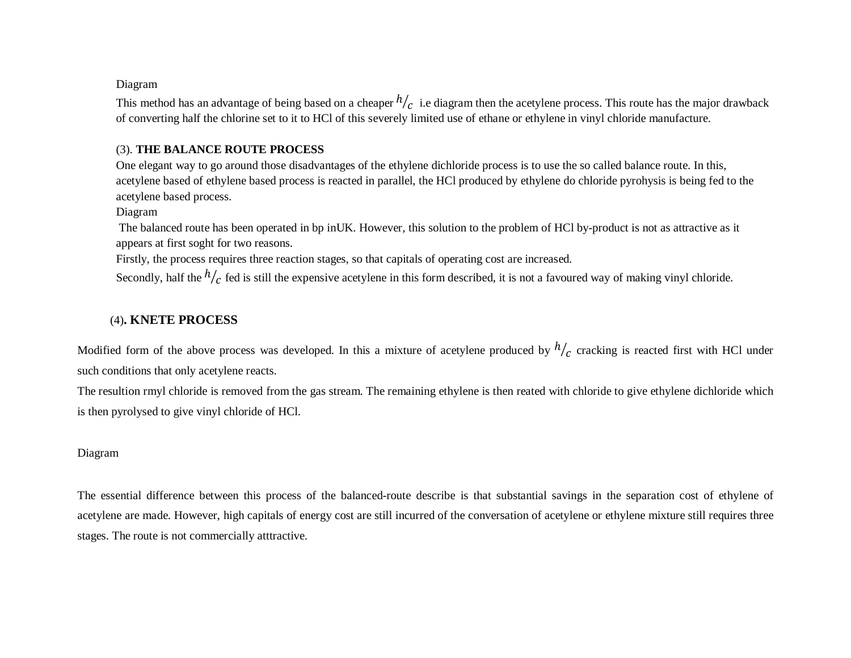#### Diagram

This method has an advantage of being based on a cheaper  $h/c$  i.e diagram then the acetylene process. This route has the major drawback of converting half the chlorine set to it to HCl of this severely limited use of ethane or ethylene in vinyl chloride manufacture.

#### (3). **THE BALANCE ROUTE PROCESS**

One elegant way to go around those disadvantages of the ethylene dichloride process is to use the so called balance route. In this, acetylene based of ethylene based process is reacted in parallel, the HCl produced by ethylene do chloride pyrohysis is being fed to the acetylene based process.

#### Diagram

The balanced route has been operated in bp inUK. However, this solution to the problem of HCl by-product is not as attractive as it appears at first soght for two reasons.

Firstly, the process requires three reaction stages, so that capitals of operating cost are increased.

Secondly, half the  $h/c$  fed is still the expensive acetylene in this form described, it is not a favoured way of making vinyl chloride.

## (4)**. KNETE PROCESS**

Modified form of the above process was developed. In this a mixture of acetylene produced by  $h/c$  cracking is reacted first with HCl under such conditions that only acetylene reacts.

The resultion rmyl chloride is removed from the gas stream. The remaining ethylene is then reated with chloride to give ethylene dichloride which is then pyrolysed to give vinyl chloride of HCl.

#### Diagram

The essential difference between this process of the balanced-route describe is that substantial savings in the separation cost of ethylene of acetylene are made. However, high capitals of energy cost are still incurred of the conversation of acetylene or ethylene mixture still requires three stages. The route is not commercially atttractive.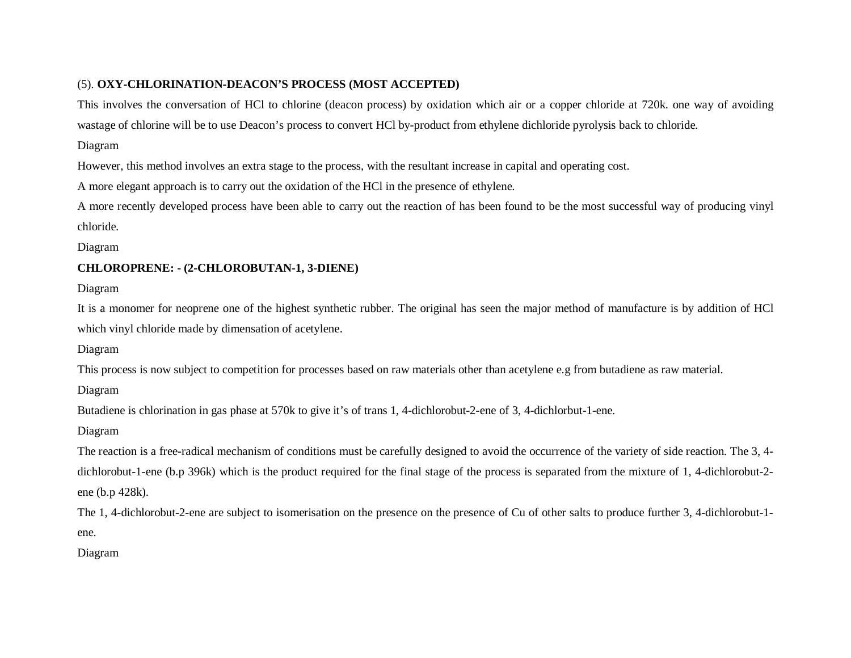## (5). **OXY-CHLORINATION-DEACON'S PROCESS (MOST ACCEPTED)**

This involves the conversation of HCl to chlorine (deacon process) by oxidation which air or a copper chloride at 720k. one way of avoiding wastage of chlorine will be to use Deacon's process to convert HCl by-product from ethylene dichloride pyrolysis back to chloride.

### Diagram

However, this method involves an extra stage to the process, with the resultant increase in capital and operating cost.

A more elegant approach is to carry out the oxidation of the HCl in the presence of ethylene.

A more recently developed process have been able to carry out the reaction of has been found to be the most successful way of producing vinyl chloride.

Diagram

## **CHLOROPRENE: - (2-CHLOROBUTAN-1, 3-DIENE)**

Diagram

It is a monomer for neoprene one of the highest synthetic rubber. The original has seen the major method of manufacture is by addition of HCl which vinyl chloride made by dimensation of acetylene.

Diagram

This process is now subject to competition for processes based on raw materials other than acetylene e.g from butadiene as raw material.

Diagram

Butadiene is chlorination in gas phase at 570k to give it's of trans 1, 4-dichlorobut-2-ene of 3, 4-dichlorbut-1-ene.

Diagram

The reaction is a free-radical mechanism of conditions must be carefully designed to avoid the occurrence of the variety of side reaction. The 3, 4 dichlorobut-1-ene (b.p 396k) which is the product required for the final stage of the process is separated from the mixture of 1, 4-dichlorobut-2 ene (b.p 428k).

The 1, 4-dichlorobut-2-ene are subject to isomerisation on the presence on the presence of Cu of other salts to produce further 3, 4-dichlorobut-1 ene.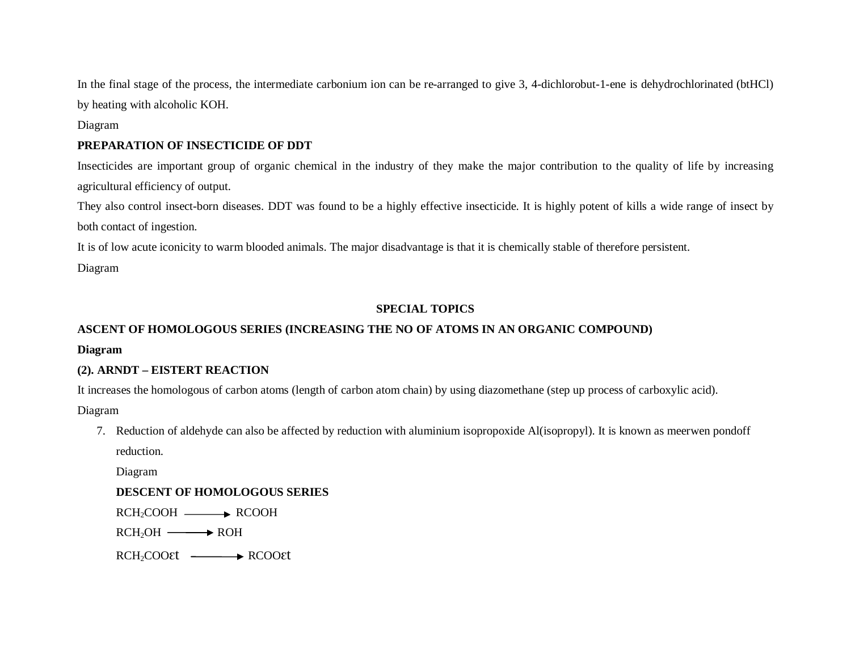In the final stage of the process, the intermediate carbonium ion can be re-arranged to give 3, 4-dichlorobut-1-ene is dehydrochlorinated (btHCl) by heating with alcoholic KOH.

### Diagram

### **PREPARATION OF INSECTICIDE OF DDT**

Insecticides are important group of organic chemical in the industry of they make the major contribution to the quality of life by increasing agricultural efficiency of output.

They also control insect-born diseases. DDT was found to be a highly effective insecticide. It is highly potent of kills a wide range of insect by both contact of ingestion.

It is of low acute iconicity to warm blooded animals. The major disadvantage is that it is chemically stable of therefore persistent.

Diagram

## **SPECIAL TOPICS**

## **ASCENT OF HOMOLOGOUS SERIES (INCREASING THE NO OF ATOMS IN AN ORGANIC COMPOUND)**

**Diagram**

## **(2). ARNDT – EISTERT REACTION**

It increases the homologous of carbon atoms (length of carbon atom chain) by using diazomethane (step up process of carboxylic acid).

Diagram

7. Reduction of aldehyde can also be affected by reduction with aluminium isopropoxide Al(isopropyl). It is known as meerwen pondoff reduction.

Diagram

## **DESCENT OF HOMOLOGOUS SERIES**

 $RCH_2COOH$   $\longrightarrow$   $RCOOH$ 

 $RCH<sub>2</sub>OH \longrightarrow ROH$ 

RCH<sub>2</sub>COO<sup>st</sup> — RCOO<sup>st</sup>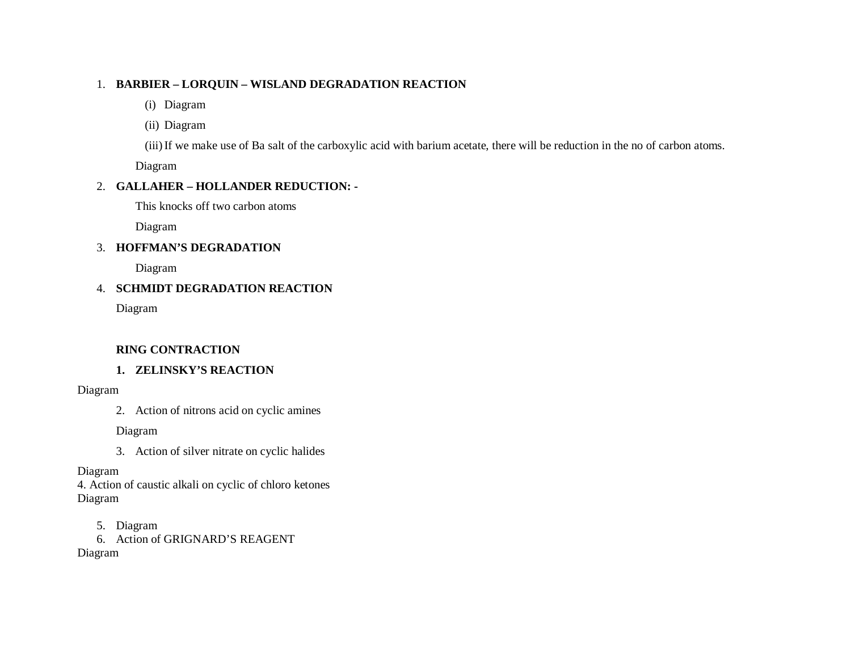### 1. **BARBIER – LORQUIN – WISLAND DEGRADATION REACTION**

- (i) Diagram
- (ii) Diagram

(iii)If we make use of Ba salt of the carboxylic acid with barium acetate, there will be reduction in the no of carbon atoms.

Diagram

## 2. **GALLAHER – HOLLANDER REDUCTION: -**

This knocks off two carbon atoms

Diagram

## 3. **HOFFMAN'S DEGRADATION**

Diagram

## 4. **SCHMIDT DEGRADATION REACTION**

Diagram

# **RING CONTRACTION**

# **1. ZELINSKY'S REACTION**

## Diagram

2. Action of nitrons acid on cyclic amines

Diagram

3. Action of silver nitrate on cyclic halides

## Diagram

4. Action of caustic alkali on cyclic of chloro ketones Diagram

5. Diagram

6. Action of GRIGNARD'S REAGENT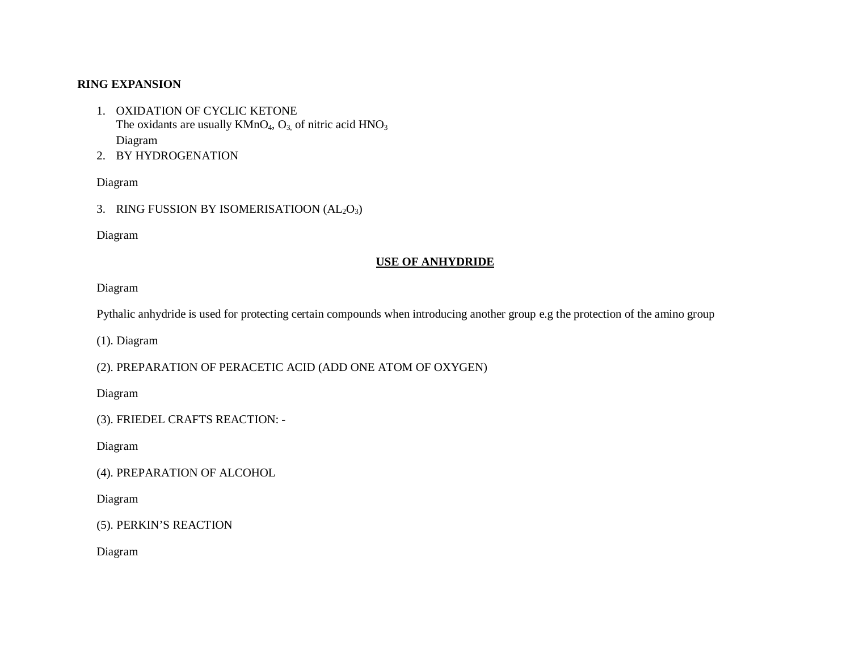### **RING EXPANSION**

- 1. OXIDATION OF CYCLIC KETONE The oxidants are usually  $KMnO<sub>4</sub>, O<sub>3</sub>$  of nitric acid  $HNO<sub>3</sub>$ Diagram
- 2. BY HYDROGENATION

#### Diagram

3. RING FUSSION BY ISOMERISATIOON  $(AL<sub>2</sub>O<sub>3</sub>)$ 

Diagram

#### **USE OF ANHYDRIDE**

#### Diagram

Pythalic anhydride is used for protecting certain compounds when introducing another group e.g the protection of the amino group

(1). Diagram

(2). PREPARATION OF PERACETIC ACID (ADD ONE ATOM OF OXYGEN)

Diagram

(3). FRIEDEL CRAFTS REACTION: -

Diagram

(4). PREPARATION OF ALCOHOL

Diagram

(5). PERKIN'S REACTION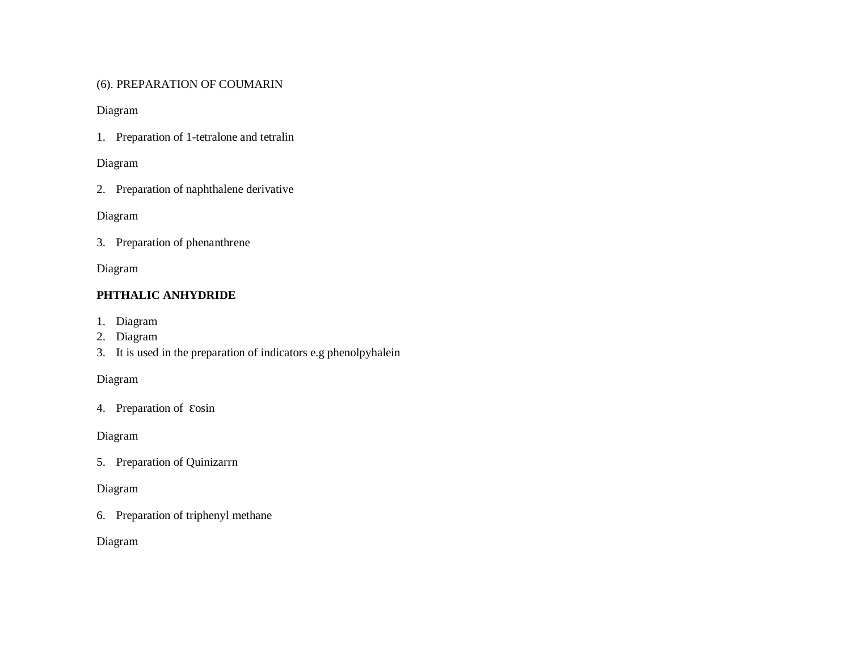## (6). PREPARATION OF COUMARIN

### Diagram

1. Preparation of 1-tetralone and tetralin

### Diagram

2. Preparation of naphthalene derivative

### Diagram

3. Preparation of phenanthrene

## Diagram

## **PHTHALIC ANHYDRIDE**

- 1. Diagram
- 2. Diagram
- 3. It is used in the preparation of indicators e.g phenolpyhalein

## Diagram

4. Preparation of Eosin

## Diagram

5. Preparation of Quinizarrn

## Diagram

6. Preparation of triphenyl methane